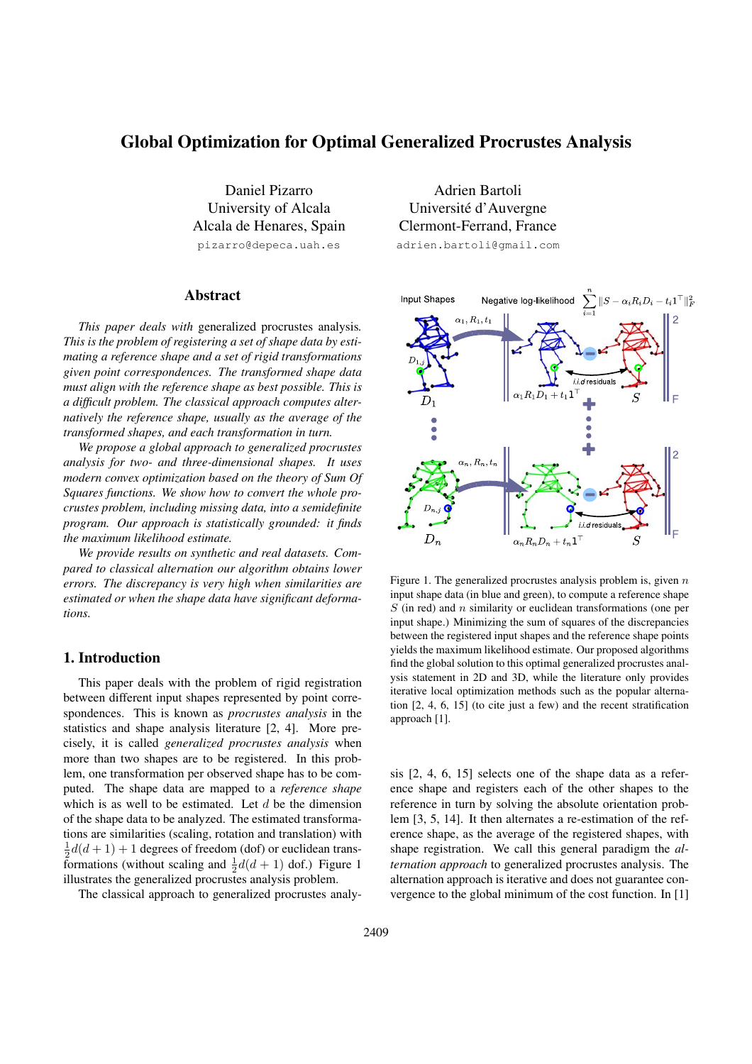# **Global Optimization for Optimal Generalized Procrustes Analysis**

Daniel Pizarro University of Alcala Alcala de Henares, Spain pizarro@depeca.uah.es

## **Abstract**

*This paper deals with* generalized procrustes analysis*. This is the problem of registering a set of shape data by estimating a reference shape and a set of rigid transformations given point correspondences. The transformed shape data must align with the reference shape as best possible. This is a difficult problem. The classical approach computes alternatively the reference shape, usually as the average of the transformed shapes, and each transformation in turn.*

*We propose a global approach to generalized procrustes analysis for two- and three-dimensional shapes. It uses modern convex optimization based on the theory of Sum Of Squares functions. We show how to convert the whole procrustes problem, including missing data, into a semidefinite program. Our approach is statistically grounded: it finds the maximum likelihood estimate.*

*We provide results on synthetic and real datasets. Compared to classical alternation our algorithm obtains lower errors. The discrepancy is very high when similarities are estimated or when the shape data have significant deformations.*

# **1. Introduction**

This paper deals with the problem of rigid registration between different input shapes represented by point correspondences. This is known as *procrustes analysis* in the statistics and shape analysis literature [2, 4]. More precisely, it is called *generalized procrustes analysis* when more than two shapes are to be registered. In this problem, one transformation per observed shape has to be computed. The shape data are mapped to a *reference shape* which is as well to be estimated. Let  $d$  be the dimension of the shape data to be analyzed. The estimated transformations are similarities (scaling, rotation and translation) with  $\frac{1}{2}d(d+1) + 1$  degrees of freedom (dof) or euclidean transformations (without scaling and  $\frac{1}{2}d(d+1)$  dof.) Figure 1 illustrates the generalized procrustes analysis problem.

The classical approach to generalized procrustes analy-

Adrien Bartoli Universite d'Auvergne ´ Clermont-Ferrand, France adrien.bartoli@gmail.com



Figure 1. The generalized procrustes analysis problem is, given  $n$ input shape data (in blue and green), to compute a reference shape  $S$  (in red) and  $n$  similarity or euclidean transformations (one per input shape.) Minimizing the sum of squares of the discrepancies between the registered input shapes and the reference shape points yields the maximum likelihood estimate. Our proposed algorithms find the global solution to this optimal generalized procrustes analysis statement in 2D and 3D, while the literature only provides iterative local optimization methods such as the popular alternation [2, 4, 6, 15] (to cite just a few) and the recent stratification approach [1].

sis [2, 4, 6, 15] selects one of the shape data as a reference shape and registers each of the other shapes to the reference in turn by solving the absolute orientation problem [3, 5, 14]. It then alternates a re-estimation of the reference shape, as the average of the registered shapes, with shape registration. We call this general paradigm the *alternation approach* to generalized procrustes analysis. The alternation approach is iterative and does not guarantee convergence to the global minimum of the cost function. In [1]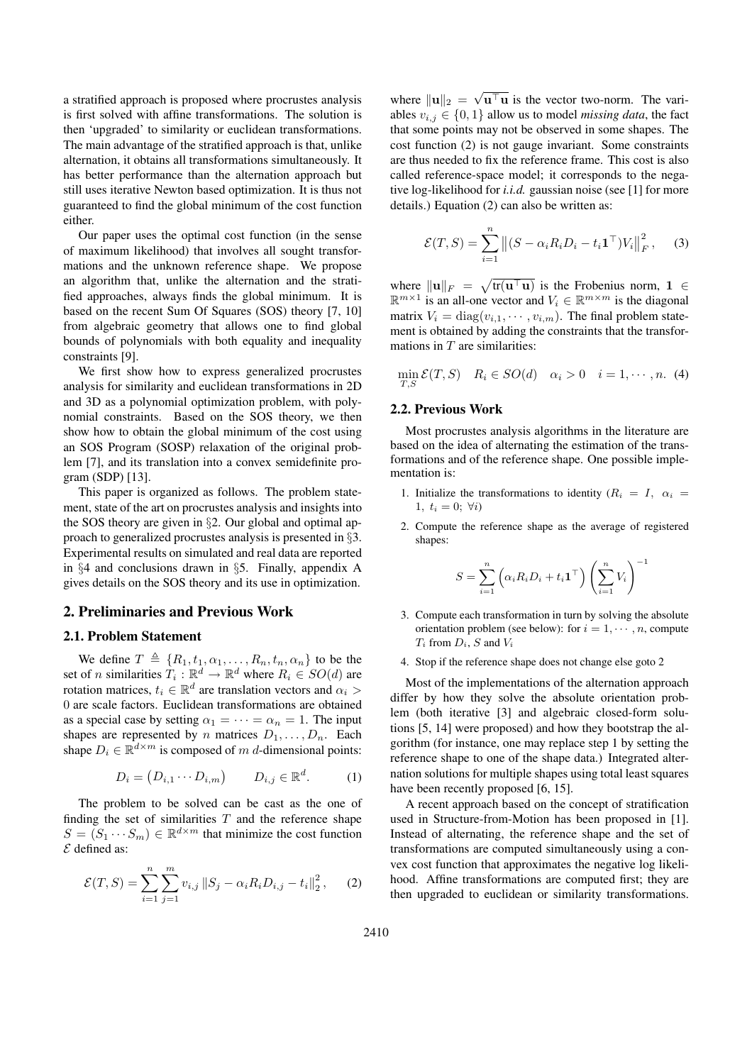a stratified approach is proposed where procrustes analysis is first solved with affine transformations. The solution is then 'upgraded' to similarity or euclidean transformations. The main advantage of the stratified approach is that, unlike alternation, it obtains all transformations simultaneously. It has better performance than the alternation approach but still uses iterative Newton based optimization. It is thus not guaranteed to find the global minimum of the cost function either.

Our paper uses the optimal cost function (in the sense of maximum likelihood) that involves all sought transformations and the unknown reference shape. We propose an algorithm that, unlike the alternation and the stratified approaches, always finds the global minimum. It is based on the recent Sum Of Squares (SOS) theory [7, 10] from algebraic geometry that allows one to find global bounds of polynomials with both equality and inequality constraints [9].

We first show how to express generalized procrustes analysis for similarity and euclidean transformations in 2D and 3D as a polynomial optimization problem, with polynomial constraints. Based on the SOS theory, we then show how to obtain the global minimum of the cost using an SOS Program (SOSP) relaxation of the original problem [7], and its translation into a convex semidefinite program (SDP) [13].

This paper is organized as follows. The problem statement, state of the art on procrustes analysis and insights into the SOS theory are given in §2. Our global and optimal approach to generalized procrustes analysis is presented in §3. Experimental results on simulated and real data are reported in §4 and conclusions drawn in §5. Finally, appendix A gives details on the SOS theory and its use in optimization.

### **2. Preliminaries and Previous Work**

### **2.1. Problem Statement**

We define  $T \triangleq \{R_1, t_1, \alpha_1, \ldots, R_n, t_n, \alpha_n\}$  to be the set of *n* similarities  $T_i : \mathbb{R}^d \to \mathbb{R}^d$  where  $R_i \in SO(d)$  are rotation matrices,  $t_i \in \mathbb{R}^d$  are translation vectors and  $\alpha_i >$ 0 are scale factors. Euclidean transformations are obtained as a special case by setting  $\alpha_1 = \cdots = \alpha_n = 1$ . The input shapes are represented by n matrices  $D_1, \ldots, D_n$ . Each shape  $D_i \in \mathbb{R}^{d \times m}$  is composed of m d-dimensional points:

$$
D_i = (D_{i,1} \cdots D_{i,m}) \qquad D_{i,j} \in \mathbb{R}^d. \tag{1}
$$

The problem to be solved can be cast as the one of finding the set of similarities  $T$  and the reference shape  $S = (S_1 \cdots S_m) \in \mathbb{R}^{d \times m}$  that minimize the cost function  $\mathcal E$  defined as:

$$
\mathcal{E}(T, S) = \sum_{i=1}^{n} \sum_{j=1}^{m} v_{i,j} \|S_j - \alpha_i R_i D_{i,j} - t_i\|_2^2, \qquad (2)
$$

where  $\|\mathbf{u}\|_2 = \sqrt{\mathbf{u}^{\top}\mathbf{u}}$  is the vector two-norm. The variables  $v_{i,j} \in \{0,1\}$  allow us to model *missing data*, the fact that some points may not be observed in some shapes. The cost function (2) is not gauge invariant. Some constraints are thus needed to fix the reference frame. This cost is also called reference-space model; it corresponds to the negative log-likelihood for *i.i.d.* gaussian noise (see [1] for more details.) Equation (2) can also be written as:

$$
\mathcal{E}(T, S) = \sum_{i=1}^{n} \left\| (S - \alpha_i R_i D_i - t_i \mathbf{1}^\top) V_i \right\|_F^2, \quad (3)
$$

where  $\|\mathbf{u}\|_F = \sqrt{\text{tr}(\mathbf{u}^\top \mathbf{u})}$  is the Frobenius norm,  $1 \in$  $\mathbb{R}^{m \times 1}$  is an all-one vector and  $V_i \in \mathbb{R}^{m \times m}$  is the diagonal matrix  $V_i = \text{diag}(v_{i,1}, \dots, v_{i,m})$ . The final problem statement is obtained by adding the constraints that the transformations in  $T$  are similarities:

$$
\min_{T,S} \mathcal{E}(T,S) \quad R_i \in SO(d) \quad \alpha_i > 0 \quad i = 1, \cdots, n. \tag{4}
$$

### **2.2. Previous Work**

Most procrustes analysis algorithms in the literature are based on the idea of alternating the estimation of the transformations and of the reference shape. One possible implementation is:

- 1. Initialize the transformations to identity  $(R_i = I, \alpha_i =$ 1,  $t_i = 0$ ;  $\forall i$ )
- 2. Compute the reference shape as the average of registered shapes:

$$
S = \sum_{i=1}^{n} \left( \alpha_i R_i D_i + t_i \mathbf{1}^\top \right) \left( \sum_{i=1}^{n} V_i \right)^{-1}
$$

- 3. Compute each transformation in turn by solving the absolute orientation problem (see below): for  $i = 1, \dots, n$ , compute  $T_i$  from  $D_i$ ,  $S$  and  $V_i$
- 4. Stop if the reference shape does not change else goto 2

Most of the implementations of the alternation approach differ by how they solve the absolute orientation problem (both iterative [3] and algebraic closed-form solutions [5, 14] were proposed) and how they bootstrap the algorithm (for instance, one may replace step 1 by setting the reference shape to one of the shape data.) Integrated alternation solutions for multiple shapes using total least squares have been recently proposed [6, 15].

A recent approach based on the concept of stratification used in Structure-from-Motion has been proposed in [1]. Instead of alternating, the reference shape and the set of transformations are computed simultaneously using a convex cost function that approximates the negative log likelihood. Affine transformations are computed first; they are then upgraded to euclidean or similarity transformations.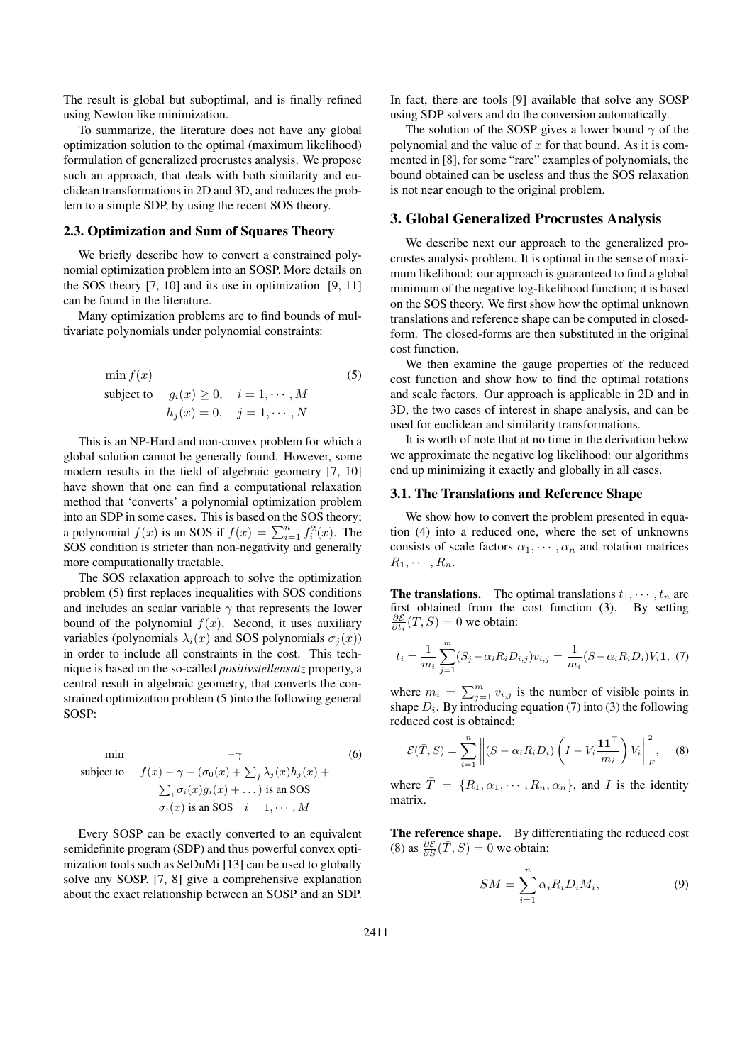The result is global but suboptimal, and is finally refined using Newton like minimization.

To summarize, the literature does not have any global optimization solution to the optimal (maximum likelihood) formulation of generalized procrustes analysis. We propose such an approach, that deals with both similarity and euclidean transformations in 2D and 3D, and reduces the problem to a simple SDP, by using the recent SOS theory.

#### **2.3. Optimization and Sum of Squares Theory**

We briefly describe how to convert a constrained polynomial optimization problem into an SOSP. More details on the SOS theory [7, 10] and its use in optimization [9, 11] can be found in the literature.

Many optimization problems are to find bounds of multivariate polynomials under polynomial constraints:

$$
\min f(x)
$$
  
subject to  $g_i(x) \ge 0, \quad i = 1, \dots, M$   

$$
h_j(x) = 0, \quad j = 1, \dots, N
$$
 (5)

This is an NP-Hard and non-convex problem for which a global solution cannot be generally found. However, some modern results in the field of algebraic geometry [7, 10] have shown that one can find a computational relaxation method that 'converts' a polynomial optimization problem into an SDP in some cases. This is based on the SOS theory; a polynomial  $f(x)$  is an SOS if  $f(x) = \sum_{i=1}^{n} f_i^2(x)$ . The SOS condition is stricter than non-negativity and generally more computationally tractable.

The SOS relaxation approach to solve the optimization problem (5) first replaces inequalities with SOS conditions and includes an scalar variable  $\gamma$  that represents the lower bound of the polynomial  $f(x)$ . Second, it uses auxiliary variables (polynomials  $\lambda_i(x)$  and SOS polynomials  $\sigma_i(x)$ ) in order to include all constraints in the cost. This technique is based on the so-called *positivstellensatz* property, a central result in algebraic geometry, that converts the constrained optimization problem (5 )into the following general SOSP:

min 
$$
-\gamma
$$
 (6)  
\nsubject to  $f(x) - \gamma - (\sigma_0(x) + \sum_j \lambda_j(x)h_j(x) + \sum_i \sigma_i(x)g_i(x) + \dots)$  is an SOS  
\n $\sigma_i(x)$  is an SOS  $i = 1, \dots, M$ 

Every SOSP can be exactly converted to an equivalent semidefinite program (SDP) and thus powerful convex optimization tools such as SeDuMi [13] can be used to globally solve any SOSP. [7, 8] give a comprehensive explanation about the exact relationship between an SOSP and an SDP.

In fact, there are tools [9] available that solve any SOSP using SDP solvers and do the conversion automatically.

The solution of the SOSP gives a lower bound  $\gamma$  of the polynomial and the value of  $x$  for that bound. As it is commented in [8], for some "rare" examples of polynomials, the bound obtained can be useless and thus the SOS relaxation is not near enough to the original problem.

### **3. Global Generalized Procrustes Analysis**

We describe next our approach to the generalized procrustes analysis problem. It is optimal in the sense of maximum likelihood: our approach is guaranteed to find a global minimum of the negative log-likelihood function; it is based on the SOS theory. We first show how the optimal unknown translations and reference shape can be computed in closedform. The closed-forms are then substituted in the original cost function.

We then examine the gauge properties of the reduced cost function and show how to find the optimal rotations and scale factors. Our approach is applicable in 2D and in 3D, the two cases of interest in shape analysis, and can be used for euclidean and similarity transformations.

It is worth of note that at no time in the derivation below we approximate the negative log likelihood: our algorithms end up minimizing it exactly and globally in all cases.

# **3.1. The Translations and Reference Shape**

We show how to convert the problem presented in equation (4) into a reduced one, where the set of unknowns consists of scale factors  $\alpha_1, \dots, \alpha_n$  and rotation matrices  $R_1, \cdots, R_n$ .

**The translations.** The optimal translations  $t_1, \dots, t_n$  are first obtained from the cost function (3). By setting  $\frac{\partial \mathcal{E}}{\partial t_i}(T, S) = 0$  we obtain:

$$
t_i = \frac{1}{m_i} \sum_{j=1}^{m} (S_j - \alpha_i R_i D_{i,j}) v_{i,j} = \frac{1}{m_i} (S - \alpha_i R_i D_i) V_i \mathbf{1}, (7)
$$

where  $m_i = \sum_{j=1}^m v_{i,j}$  is the number of visible points in shape  $D_i$ . By introducing equation (7) into (3) the following reduced cost is obtained:

$$
\mathcal{E}(\bar{T}, S) = \sum_{i=1}^{n} \left\| (S - \alpha_i R_i D_i) \left( I - V_i \frac{\mathbf{1} \mathbf{1}^\top}{m_i} \right) V_i \right\|_F^2, \quad (8)
$$

where  $\overline{T} = \{R_1, \alpha_1, \cdots, R_n, \alpha_n\}$ , and I is the identity matrix.

**The reference shape.** By differentiating the reduced cost (8) as  $\frac{\partial \mathcal{E}}{\partial S}(\overline{T}, S) = 0$  we obtain:

$$
SM = \sum_{i=1}^{n} \alpha_i R_i D_i M_i, \qquad (9)
$$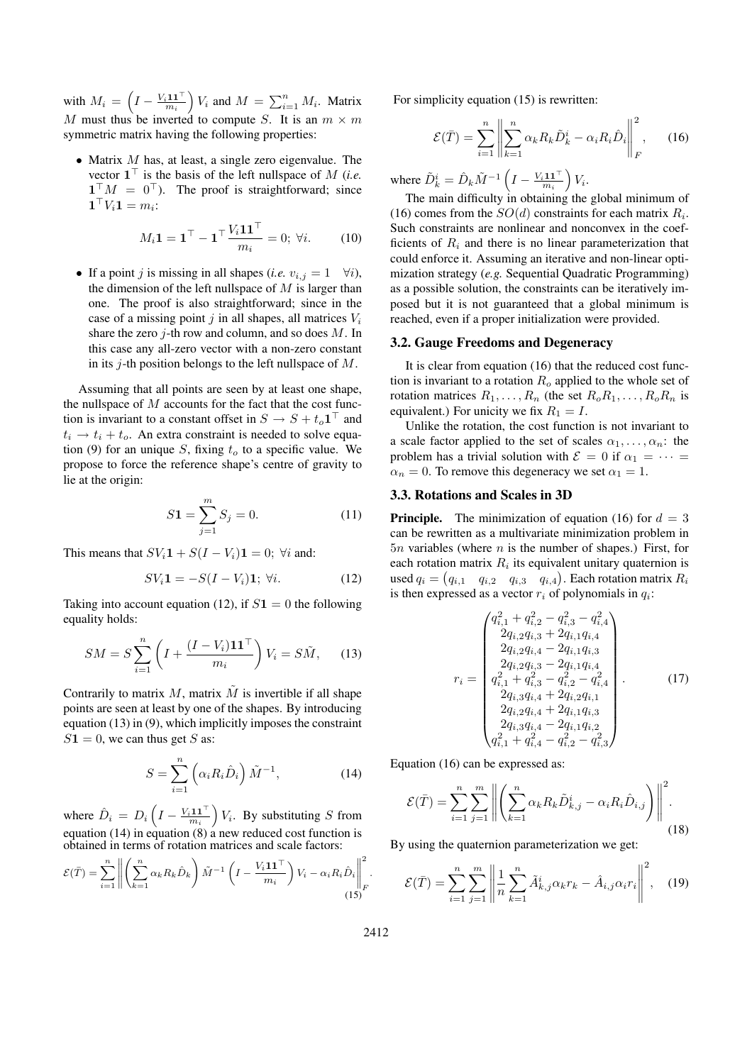with  $M_i = \left(I - \frac{V_i \mathbf{1} \mathbf{1}^\top}{m_i}\right) V_i$  and  $M = \sum_{i=1}^n M_i$ . Matrix M must thus be inverted to compute S. It is an  $m \times m$ symmetric matrix having the following properties:

• Matrix  $M$  has, at least, a single zero eigenvalue. The vector  $\mathbf{1}^\top$  is the basis of the left nullspace of M (*i.e.*  $\mathbf{1}^\top M = 0^\top$ ). The proof is straightforward; since  $\mathbf{1}^\top V_i \mathbf{1} = m_i$ :

$$
M_i \mathbf{1} = \mathbf{1}^\top - \mathbf{1}^\top \frac{V_i \mathbf{1} \mathbf{1}^\top}{m_i} = 0; \ \forall i. \tag{10}
$$

• If a point j is missing in all shapes (*i.e.*  $v_{i,j} = 1 \quad \forall i$ ), the dimension of the left nullspace of  $M$  is larger than one. The proof is also straightforward; since in the case of a missing point j in all shapes, all matrices  $V_i$ share the zero *i*-th row and column, and so does  $M$ . In this case any all-zero vector with a non-zero constant in its  $j$ -th position belongs to the left nullspace of  $M$ .

Assuming that all points are seen by at least one shape, the nullspace of  $M$  accounts for the fact that the cost function is invariant to a constant offset in  $S \to S + t_o \mathbf{1}^\top$  and  $t_i \rightarrow t_i + t_o$ . An extra constraint is needed to solve equation (9) for an unique S, fixing  $t<sub>o</sub>$  to a specific value. We propose to force the reference shape's centre of gravity to lie at the origin:

$$
S1 = \sum_{j=1}^{m} S_j = 0.
$$
 (11)

This means that  $SV_i\mathbf{1} + S(I - V_i)\mathbf{1} = 0$ :  $\forall i$  and:

$$
SV_i \mathbf{1} = -S(I - V_i)\mathbf{1}; \ \forall i. \tag{12}
$$

Taking into account equation (12), if  $S1 = 0$  the following equality holds:

$$
SM = S \sum_{i=1}^{n} \left( I + \frac{(I - V_i)\mathbf{1}\mathbf{1}^\top}{m_i} \right) V_i = S\tilde{M}, \quad (13)
$$

Contrarily to matrix  $M$ , matrix  $\tilde{M}$  is invertible if all shape points are seen at least by one of the shapes. By introducing equation (13) in (9), which implicitly imposes the constraint  $S1 = 0$ , we can thus get S as:

$$
S = \sum_{i=1}^{n} \left( \alpha_i R_i \hat{D}_i \right) \tilde{M}^{-1}, \tag{14}
$$

where  $\hat{D}_i = D_i \left( I - \frac{V_i \mathbf{1} \mathbf{1}^\top}{m_i} \right) V_i$ . By substituting S from equation  $(14)$  in equation  $(8)$  a new reduced cost function is obtained in terms of rotation matrices and scale factors:

$$
\mathcal{E}(\bar{T}) = \sum_{i=1}^{n} \left\| \left( \sum_{k=1}^{n} \alpha_k R_k \hat{D}_k \right) \tilde{M}^{-1} \left( I - \frac{V_i \mathbf{1} \mathbf{1}^\top}{m_i} \right) V_i - \alpha_i R_i \hat{D}_i \right\|_F^2.
$$
\n(15)

For simplicity equation (15) is rewritten:

$$
\mathcal{E}(\bar{T}) = \sum_{i=1}^{n} \left\| \sum_{k=1}^{n} \alpha_k R_k \tilde{D}_k^i - \alpha_i R_i \hat{D}_i \right\|_F^2, \quad (16)
$$

where  $\tilde{D}_k^i = \hat{D}_k \tilde{M}^{-1} \left( I - \frac{V_i \mathbf{1} \mathbf{1}^\top}{m_i} \right) V_i$ .

The main difficulty in obtaining the global minimum of (16) comes from the  $SO(d)$  constraints for each matrix  $R_i$ . Such constraints are nonlinear and nonconvex in the coefficients of  $R_i$  and there is no linear parameterization that could enforce it. Assuming an iterative and non-linear optimization strategy (*e.g.* Sequential Quadratic Programming) as a possible solution, the constraints can be iteratively imposed but it is not guaranteed that a global minimum is reached, even if a proper initialization were provided.

#### **3.2. Gauge Freedoms and Degeneracy**

It is clear from equation (16) that the reduced cost function is invariant to a rotation  $R_o$  applied to the whole set of rotation matrices  $R_1, \ldots, R_n$  (the set  $R_0, R_1, \ldots, R_0, R_n$  is equivalent.) For unicity we fix  $R_1 = I$ .

Unlike the rotation, the cost function is not invariant to a scale factor applied to the set of scales  $\alpha_1, \ldots, \alpha_n$ : the problem has a trivial solution with  $\mathcal{E} = 0$  if  $\alpha_1 = \cdots =$  $\alpha_n = 0$ . To remove this degeneracy we set  $\alpha_1 = 1$ .

## **3.3. Rotations and Scales in 3D**

**Principle.** The minimization of equation (16) for  $d = 3$ can be rewritten as a multivariate minimization problem in  $5n$  variables (where n is the number of shapes.) First, for each rotation matrix  $R_i$  its equivalent unitary quaternion is used  $q_i = (q_{i,1} \quad q_{i,2} \quad q_{i,3} \quad q_{i,4})$ . Each rotation matrix  $R_i$ is then expressed as a vector  $r_i$  of polynomials in  $q_i$ :

$$
r_{i} = \begin{pmatrix} q_{i,1}^{2} + q_{i,2}^{2} - q_{i,3}^{2} - q_{i,4}^{2} \\ 2q_{i,2}q_{i,3} + 2q_{i,1}q_{i,4} \\ 2q_{i,2}q_{i,4} - 2q_{i,1}q_{i,3} \\ 2q_{i,2}q_{i,3} - 2q_{i,1}q_{i,4} \\ q_{i,1}^{2} + q_{i,3}^{2} - q_{i,2}^{2} - q_{i,4}^{2} \\ 2q_{i,3}q_{i,4} + 2q_{i,2}q_{i,1} \\ 2q_{i,2}q_{i,4} + 2q_{i,1}q_{i,3} \\ 2q_{i,3}q_{i,4} - 2q_{i,1}q_{i,2} \\ q_{i,1}^{2} + q_{i,4}^{2} - q_{i,2}^{2} - q_{i,3}^{2} \end{pmatrix}.
$$
 (17)

Equation (16) can be expressed as:

$$
\mathcal{E}(\bar{T}) = \sum_{i=1}^{n} \sum_{j=1}^{m} \left\| \left( \sum_{k=1}^{n} \alpha_k R_k \tilde{D}_{k,j}^i - \alpha_i R_i \hat{D}_{i,j} \right) \right\|^2.
$$
\n(18)

By using the quaternion parameterization we get:

$$
\mathcal{E}(\bar{T}) = \sum_{i=1}^{n} \sum_{j=1}^{m} \left\| \frac{1}{n} \sum_{k=1}^{n} \tilde{A}_{k,j}^{i} \alpha_k r_k - \hat{A}_{i,j} \alpha_i r_i \right\|^2, \quad (19)
$$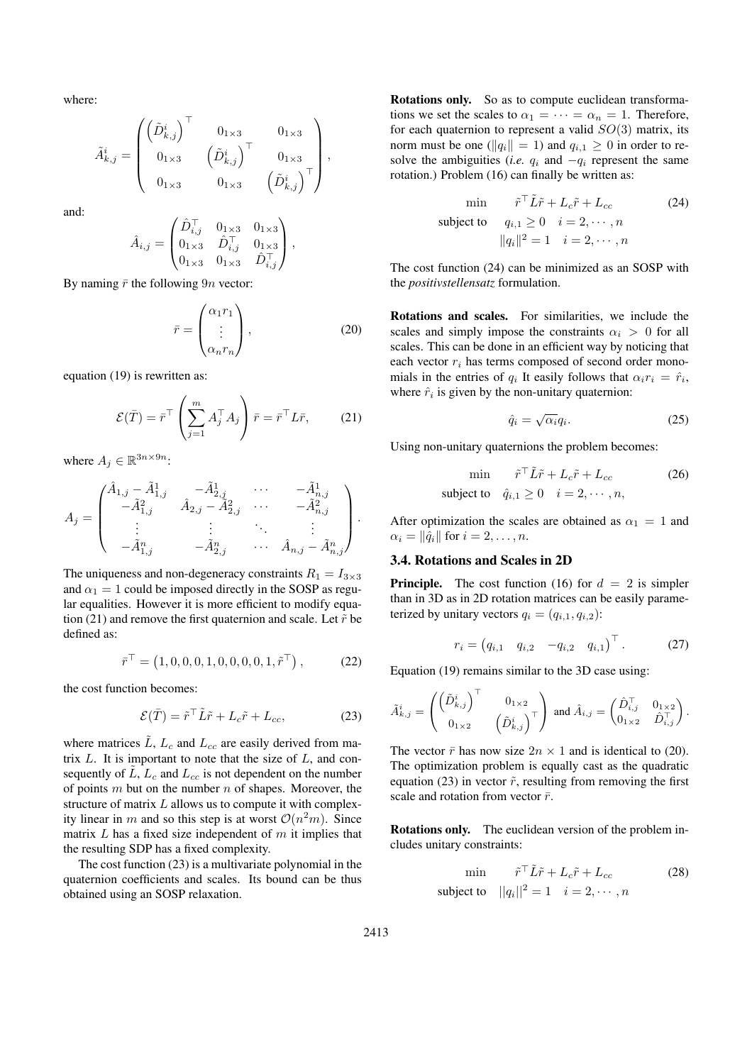where:

$$
\tilde{A}_{k,j}^i = \begin{pmatrix} \left( \tilde{D}_{k,j}^i \right)^\top & 0_{1 \times 3} & 0_{1 \times 3} \\ 0_{1 \times 3} & \left( \tilde{D}_{k,j}^i \right)^\top & 0_{1 \times 3} \\ 0_{1 \times 3} & 0_{1 \times 3} & \left( \tilde{D}_{k,j}^i \right)^\top \end{pmatrix},
$$

and:

$$
\hat{A}_{i,j} = \begin{pmatrix} \hat{D}_{i,j}^{\top} & 0_{1\times 3} & 0_{1\times 3} \\ 0_{1\times 3} & \hat{D}_{i,j}^{\top} & 0_{1\times 3} \\ 0_{1\times 3} & 0_{1\times 3} & \hat{D}_{i,j}^{\top} \end{pmatrix},
$$

By naming  $\bar{r}$  the following 9n vector:

$$
\bar{r} = \begin{pmatrix} \alpha_1 r_1 \\ \vdots \\ \alpha_n r_n \end{pmatrix},\tag{20}
$$

equation (19) is rewritten as:

$$
\mathcal{E}(\bar{T}) = \bar{r}^{\top} \left( \sum_{j=1}^{m} A_j^{\top} A_j \right) \bar{r} = \bar{r}^{\top} L \bar{r}, \qquad (21)
$$

where  $A_j \in \mathbb{R}^{3n \times 9n}$ :

$$
A_j = \begin{pmatrix} \hat{A}_{1,j} - \tilde{A}_{1,j}^1 & -\tilde{A}_{2,j}^1 & \cdots & -\tilde{A}_{n,j}^1 \\ -\tilde{A}_{1,j}^2 & \hat{A}_{2,j} - \tilde{A}_{2,j}^2 & \cdots & -\tilde{A}_{n,j}^2 \\ \vdots & \vdots & \ddots & \vdots \\ -\tilde{A}_{1,j}^n & -\tilde{A}_{2,j}^n & \cdots & \hat{A}_{n,j} - \tilde{A}_{n,j}^n \end{pmatrix}.
$$

The uniqueness and non-degeneracy constraints  $R_1 = I_{3\times 3}$ and  $\alpha_1 = 1$  could be imposed directly in the SOSP as regular equalities. However it is more efficient to modify equation (21) and remove the first quaternion and scale. Let  $\tilde{r}$  be defined as:

$$
\bar{r}^{\top} = (1, 0, 0, 0, 1, 0, 0, 0, 0, 1, \tilde{r}^{\top}), \tag{22}
$$

the cost function becomes:

$$
\mathcal{E}(\bar{T}) = \tilde{r}^\top \tilde{L}\tilde{r} + L_c \tilde{r} + L_{cc},\tag{23}
$$

where matrices  $\tilde{L}$ ,  $L_c$  and  $L_{cc}$  are easily derived from matrix  $L$ . It is important to note that the size of  $L$ , and consequently of  $\tilde{L}$ ,  $L_c$  and  $L_{cc}$  is not dependent on the number of points  $m$  but on the number  $n$  of shapes. Moreover, the structure of matrix L allows us to compute it with complexity linear in m and so this step is at worst  $\mathcal{O}(n^2m)$ . Since matrix  $L$  has a fixed size independent of  $m$  it implies that the resulting SDP has a fixed complexity.

The cost function (23) is a multivariate polynomial in the quaternion coefficients and scales. Its bound can be thus obtained using an SOSP relaxation.

**Rotations only.** So as to compute euclidean transformations we set the scales to  $\alpha_1 = \cdots = \alpha_n = 1$ . Therefore, for each quaternion to represent a valid  $SO(3)$  matrix, its norm must be one ( $||q_i|| = 1$ ) and  $q_{i,1} \geq 0$  in order to resolve the ambiguities (*i.e.*  $q_i$  and  $-q_i$  represent the same rotation.) Problem (16) can finally be written as:

$$
\min \quad \tilde{r}^\top \tilde{L}\tilde{r} + L_c \tilde{r} + L_{cc} \tag{24}
$$
\n
$$
\text{subject to} \quad q_{i,1} \ge 0 \quad i = 2, \cdots, n
$$
\n
$$
||q_i||^2 = 1 \quad i = 2, \cdots, n
$$

The cost function (24) can be minimized as an SOSP with the *positivstellensatz* formulation.

**Rotations and scales.** For similarities, we include the scales and simply impose the constraints  $\alpha_i > 0$  for all scales. This can be done in an efficient way by noticing that each vector  $r_i$  has terms composed of second order monomials in the entries of  $q_i$  It easily follows that  $\alpha_i r_i = \hat{r}_i$ , where  $\hat{r}_i$  is given by the non-unitary quaternion:

$$
\hat{q}_i = \sqrt{\alpha_i} q_i. \tag{25}
$$

Using non-unitary quaternions the problem becomes:

$$
\min \quad \tilde{r}^\top \tilde{L}\tilde{r} + L_c \tilde{r} + L_{cc} \tag{26}
$$
\n
$$
\text{subject to} \quad \hat{q}_{i,1} \ge 0 \quad i = 2, \cdots, n,
$$

After optimization the scales are obtained as  $\alpha_1 = 1$  and  $\alpha_i = \|\hat{q}_i\|$  for  $i = 2, \ldots, n$ .

### **3.4. Rotations and Scales in 2D**

**Principle.** The cost function (16) for  $d = 2$  is simpler than in 3D as in 2D rotation matrices can be easily parameterized by unitary vectors  $q_i = (q_{i,1}, q_{i,2})$ :

$$
r_i = (q_{i,1} \quad q_{i,2} \quad -q_{i,2} \quad q_{i,1})^{\top}.
$$
 (27)

Equation (19) remains similar to the 3D case using:

$$
\tilde{A}_{k,j}^i = \begin{pmatrix} \left(\tilde{D}_{k,j}^i\right)^\top & 0_{1\times 2} \\ 0_{1\times 2} & \left(\tilde{D}_{k,j}^i\right)^\top \end{pmatrix} \text{ and } \hat{A}_{i,j} = \begin{pmatrix} \hat{D}_{i,j}^\top & 0_{1\times 2} \\ 0_{1\times 2} & \hat{D}_{i,j}^\top \end{pmatrix}.
$$

The vector  $\bar{r}$  has now size  $2n \times 1$  and is identical to (20). The optimization problem is equally cast as the quadratic equation (23) in vector  $\tilde{r}$ , resulting from removing the first scale and rotation from vector  $\bar{r}$ .

**Rotations only.** The euclidean version of the problem includes unitary constraints:

$$
\min \quad \tilde{r}^\top \tilde{L}\tilde{r} + L_c \tilde{r} + L_{cc} \quad (28)
$$
\n
$$
\text{subject to} \quad ||q_i||^2 = 1 \quad i = 2, \cdots, n
$$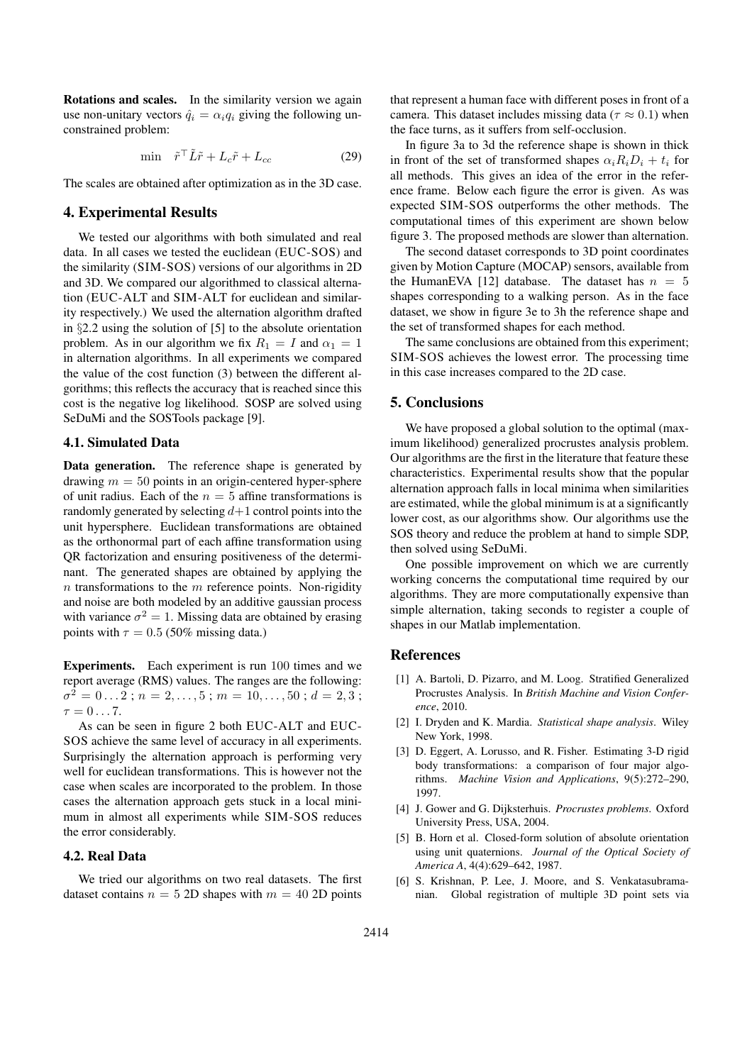**Rotations and scales.** In the similarity version we again use non-unitary vectors  $\hat{q}_i = \alpha_i q_i$  giving the following unconstrained problem:

$$
\min \quad \tilde{r}^\top \tilde{L}\tilde{r} + L_c \tilde{r} + L_{cc} \tag{29}
$$

The scales are obtained after optimization as in the 3D case.

# **4. Experimental Results**

We tested our algorithms with both simulated and real data. In all cases we tested the euclidean (EUC-SOS) and the similarity (SIM-SOS) versions of our algorithms in 2D and 3D. We compared our algorithmed to classical alternation (EUC-ALT and SIM-ALT for euclidean and similarity respectively.) We used the alternation algorithm drafted in §2.2 using the solution of [5] to the absolute orientation problem. As in our algorithm we fix  $R_1 = I$  and  $\alpha_1 = 1$ in alternation algorithms. In all experiments we compared the value of the cost function (3) between the different algorithms; this reflects the accuracy that is reached since this cost is the negative log likelihood. SOSP are solved using SeDuMi and the SOSTools package [9].

### **4.1. Simulated Data**

**Data generation.** The reference shape is generated by drawing  $m = 50$  points in an origin-centered hyper-sphere of unit radius. Each of the  $n = 5$  affine transformations is randomly generated by selecting  $d+1$  control points into the unit hypersphere. Euclidean transformations are obtained as the orthonormal part of each affine transformation using QR factorization and ensuring positiveness of the determinant. The generated shapes are obtained by applying the  $n$  transformations to the  $m$  reference points. Non-rigidity and noise are both modeled by an additive gaussian process with variance  $\sigma^2 = 1$ . Missing data are obtained by erasing points with  $\tau = 0.5$  (50% missing data.)

**Experiments.** Each experiment is run 100 times and we report average (RMS) values. The ranges are the following:  $\sigma^2 = 0 \dots 2$ ;  $n = 2, \dots, 5$ ;  $m = 10, \dots, 50$ ;  $d = 2, 3$ ;  $\tau = 0 \dots 7$ .

As can be seen in figure 2 both EUC-ALT and EUC-SOS achieve the same level of accuracy in all experiments. Surprisingly the alternation approach is performing very well for euclidean transformations. This is however not the case when scales are incorporated to the problem. In those cases the alternation approach gets stuck in a local minimum in almost all experiments while SIM-SOS reduces the error considerably.

### **4.2. Real Data**

We tried our algorithms on two real datasets. The first dataset contains  $n = 5$  2D shapes with  $m = 40$  2D points that represent a human face with different poses in front of a camera. This dataset includes missing data ( $\tau \approx 0.1$ ) when the face turns, as it suffers from self-occlusion.

In figure 3a to 3d the reference shape is shown in thick in front of the set of transformed shapes  $\alpha_i R_i D_i + t_i$  for all methods. This gives an idea of the error in the reference frame. Below each figure the error is given. As was expected SIM-SOS outperforms the other methods. The computational times of this experiment are shown below figure 3. The proposed methods are slower than alternation.

The second dataset corresponds to 3D point coordinates given by Motion Capture (MOCAP) sensors, available from the HumanEVA [12] database. The dataset has  $n = 5$ shapes corresponding to a walking person. As in the face dataset, we show in figure 3e to 3h the reference shape and the set of transformed shapes for each method.

The same conclusions are obtained from this experiment; SIM-SOS achieves the lowest error. The processing time in this case increases compared to the 2D case.

#### **5. Conclusions**

We have proposed a global solution to the optimal (maximum likelihood) generalized procrustes analysis problem. Our algorithms are the first in the literature that feature these characteristics. Experimental results show that the popular alternation approach falls in local minima when similarities are estimated, while the global minimum is at a significantly lower cost, as our algorithms show. Our algorithms use the SOS theory and reduce the problem at hand to simple SDP, then solved using SeDuMi.

One possible improvement on which we are currently working concerns the computational time required by our algorithms. They are more computationally expensive than simple alternation, taking seconds to register a couple of shapes in our Matlab implementation.

# **References**

- [1] A. Bartoli, D. Pizarro, and M. Loog. Stratified Generalized Procrustes Analysis. In *British Machine and Vision Conference*, 2010.
- [2] I. Dryden and K. Mardia. *Statistical shape analysis*. Wiley New York, 1998.
- [3] D. Eggert, A. Lorusso, and R. Fisher. Estimating 3-D rigid body transformations: a comparison of four major algorithms. *Machine Vision and Applications*, 9(5):272–290, 1997.
- [4] J. Gower and G. Dijksterhuis. *Procrustes problems*. Oxford University Press, USA, 2004.
- [5] B. Horn et al. Closed-form solution of absolute orientation using unit quaternions. *Journal of the Optical Society of America A*, 4(4):629–642, 1987.
- [6] S. Krishnan, P. Lee, J. Moore, and S. Venkatasubramanian. Global registration of multiple 3D point sets via